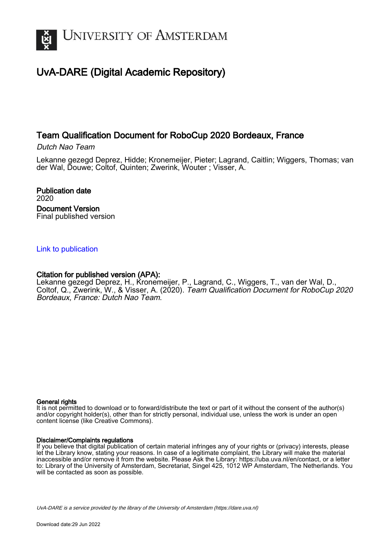

# UvA-DARE (Digital Academic Repository)

# Team Qualification Document for RoboCup 2020 Bordeaux, France

Dutch Nao Team

Lekanne gezegd Deprez, Hidde; Kronemeijer, Pieter; Lagrand, Caitlin; Wiggers, Thomas; van der Wal, Douwe; Coltof, Quinten; Zwerink, Wouter ; Visser, A.

Publication date 2020 Document Version Final published version

# [Link to publication](https://dare.uva.nl/personal/pure/en/publications/team-qualification-document-for-robocup-2020-bordeaux-france(f4b8ff50-358f-4974-a195-9b0051b6063a).html)

# Citation for published version (APA):

Lekanne gezegd Deprez, H., Kronemeijer, P., Lagrand, C., Wiggers, T., van der Wal, D., Coltof, Q., Zwerink, W., & Visser, A. (2020). Team Qualification Document for RoboCup 2020 Bordeaux, France: Dutch Nao Team.

## General rights

It is not permitted to download or to forward/distribute the text or part of it without the consent of the author(s) and/or copyright holder(s), other than for strictly personal, individual use, unless the work is under an open content license (like Creative Commons).

## Disclaimer/Complaints regulations

If you believe that digital publication of certain material infringes any of your rights or (privacy) interests, please let the Library know, stating your reasons. In case of a legitimate complaint, the Library will make the material inaccessible and/or remove it from the website. Please Ask the Library: https://uba.uva.nl/en/contact, or a letter to: Library of the University of Amsterdam, Secretariat, Singel 425, 1012 WP Amsterdam, The Netherlands. You will be contacted as soon as possible.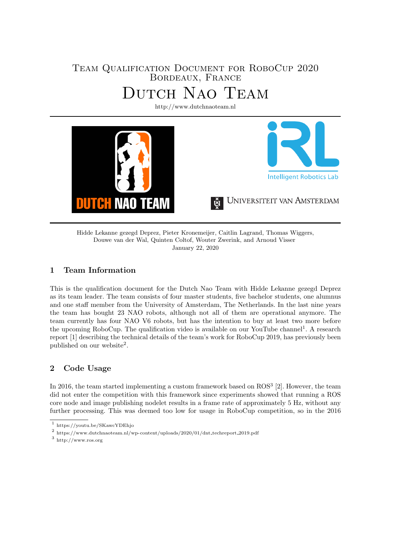# Team Qualification Document for RoboCup 2020 Bordeaux, France Dutch Nao Team

<http://www.dutchnaoteam.nl> **Intelligent Robotics Lab** UNIVERSITEIT VAN AMSTERDAM TAH **NAO** TEAM

Hidde Lekanne gezegd Deprez, Pieter Kronemeijer, Caitlin Lagrand, Thomas Wiggers, Douwe van der Wal, Quinten Coltof, Wouter Zwerink, and Arnoud Visser January 22, 2020

## 1 Team Information

This is the qualification document for the Dutch Nao Team with Hidde Lekanne gezegd Deprez as its team leader. The team consists of four master students, five bachelor students, one alumnus and one staff member from the University of Amsterdam, The Netherlands. In the last nine years the team has bought 23 NAO robots, although not all of them are operational anymore. The team currently has four NAO V6 robots, but has the intention to buy at least two more before the upcoming RoboCup. The qualification video is available on our YouTube channel<sup>[1](#page-1-0)</sup>. A research report [\[1\]](#page-6-0) describing the technical details of the team's work for RoboCup 2019, has previously been published on our website<sup>[2](#page-1-1)</sup>.

# 2 Code Usage

In 2016, the team started implementing a custom framework based on ROS<sup>[3](#page-1-2)</sup> [\[2\]](#page-6-1). However, the team did not enter the competition with this framework since experiments showed that running a ROS core node and image publishing nodelet results in a frame rate of approximately 5 Hz, without any further processing. This was deemed too low for usage in RoboCup competition, so in the 2016

<span id="page-1-0"></span><sup>1</sup> [https://youtu.be/SKawcYDEhjo](https://youtu.be/SKawcYDEhjo )

<span id="page-1-1"></span><sup>&</sup>lt;sup>2</sup> [https://www.dutchnaoteam.nl/wp-content/uploads/2020/01/dnt](https://www.dutchnaoteam.nl/wp-content/uploads/2020/01/dnt_techreport_2019.pdf)\_techreport\_2019.pdf

<span id="page-1-2"></span><sup>3</sup> <http://www.ros.org>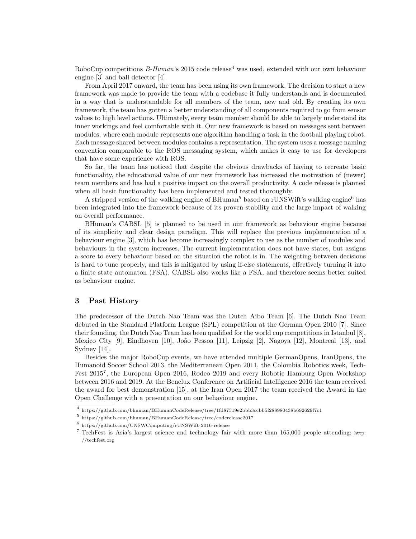RoboCup competitions  $B-Human$ 's 2015 code release<sup>[4](#page-2-0)</sup> was used, extended with our own behaviour engine [\[3\]](#page-6-2) and ball detector [\[4\]](#page-6-3).

From April 2017 onward, the team has been using its own framework. The decision to start a new framework was made to provide the team with a codebase it fully understands and is documented in a way that is understandable for all members of the team, new and old. By creating its own framework, the team has gotten a better understanding of all components required to go from sensor values to high level actions. Ultimately, every team member should be able to largely understand its inner workings and feel comfortable with it. Our new framework is based on messages sent between modules, where each module represents one algorithm handling a task in the football playing robot. Each message shared between modules contains a representation. The system uses a message naming convention comparable to the ROS messaging system, which makes it easy to use for developers that have some experience with ROS.

So far, the team has noticed that despite the obvious drawbacks of having to recreate basic functionality, the educational value of our new framework has increased the motivation of (newer) team members and has had a positive impact on the overall productivity. A code release is planned when all basic functionality has been implemented and tested thoroughly.

A stripped version of the walking engine of BHuman<sup>[5](#page-2-1)</sup> based on rUNSWift's walking engine<sup>[6](#page-2-2)</sup> has been integrated into the framework because of its proven stability and the large impact of walking on overall performance.

BHuman's CABSL [\[5\]](#page-6-4) is planned to be used in our framework as behaviour engine because of its simplicity and clear design paradigm. This will replace the previous implementation of a behaviour engine [\[3\]](#page-6-2), which has become increasingly complex to use as the number of modules and behaviours in the system increases. The current implementation does not have states, but assigns a score to every behaviour based on the situation the robot is in. The weighting between decisions is hard to tune properly, and this is mitigated by using if-else statements, effectively turning it into a finite state automaton (FSA). CABSL also works like a FSA, and therefore seems better suited as behaviour engine.

### 3 Past History

The predecessor of the Dutch Nao Team was the Dutch Aibo Team [\[6\]](#page-6-5). The Dutch Nao Team debuted in the Standard Platform League (SPL) competition at the German Open 2010 [\[7\]](#page-6-6). Since their founding, the Dutch Nao Team has been qualified for the world cup competitions in Istanbul [\[8\]](#page-6-7), Mexico City [\[9\]](#page-6-8), Eindhoven [\[10\]](#page-6-9), João Pessoa [\[11\]](#page-6-10), Leipzig [\[2\]](#page-6-1), Nagoya [\[12\]](#page-6-11), Montreal [\[13\]](#page-7-0), and Sydney [\[14\]](#page-7-1).

Besides the major RoboCup events, we have attended multiple GermanOpens, IranOpens, the Humanoid Soccer School 2013, the Mediterranean Open 2011, the Colombia Robotics week, Tech-Fest 2015<sup>[7](#page-2-3)</sup>, the European Open 2016, Rodeo 2019 and every Robotic Hamburg Open Workshop between 2016 and 2019. At the Benelux Conference on Artificial Intelligence 2016 the team received the award for best demonstration [\[15\]](#page-7-2), at the Iran Open 2017 the team received the Award in the Open Challenge with a presentation on our behaviour engine.

<span id="page-2-0"></span><sup>4</sup> <https://github.com/bhuman/BHumanCodeRelease/tree/1fd87519e2bbb3ccbb5f288980438b692629f7c1>

<span id="page-2-1"></span><sup>5</sup> <https://github.com/bhuman/BHumanCodeRelease/tree/coderelease2017>

<span id="page-2-2"></span><sup>6</sup> <https://github.com/UNSWComputing/rUNSWift-2016-release>

<span id="page-2-3"></span><sup>7</sup> TechFest is Asia's largest science and technology fair with more than 165,000 people attending: [http:](http://techfest.org) [//techfest.org](http://techfest.org)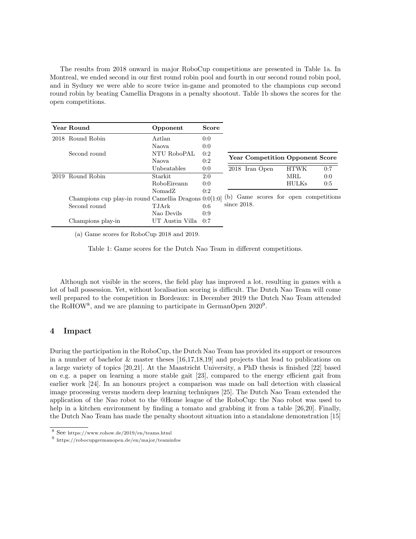The results from 2018 onward in major RoboCup competitions are presented in Table [1a.](#page-3-0) In Montreal, we ended second in our first round robin pool and fourth in our second round robin pool, and in Sydney we were able to score twice in-game and promoted to the champions cup second round robin by beating Camellia Dragons in a penalty shootout. Table [1b](#page-3-0) shows the scores for the open competitions.

<span id="page-3-0"></span>

|      | Year Round                                                                                  | Opponent        | <b>Score</b> |                |                |  |              |                                        |
|------|---------------------------------------------------------------------------------------------|-----------------|--------------|----------------|----------------|--|--------------|----------------------------------------|
|      | 2018 Round Robin                                                                            | Aztlan          | 0:0          |                |                |  |              |                                        |
|      |                                                                                             | Naova           | 0:0          |                |                |  |              |                                        |
|      | Second round                                                                                | NTU RoboPAL     | 0:2          |                |                |  |              |                                        |
|      |                                                                                             | Naova           | 0:2          |                |                |  |              | <b>Year Competition Opponent Score</b> |
|      |                                                                                             | Unbeatables     | 0:0          |                | 2018 Iran Open |  | <b>HTWK</b>  | 0:7                                    |
| 2019 | Round Robin                                                                                 | Starkit         | 2:0          |                |                |  | MRL          | 0:0                                    |
|      |                                                                                             | RoboEireann     | 0:0          |                |                |  | <b>HULKs</b> | 0:5                                    |
|      |                                                                                             | NomadZ          | 0:2          |                |                |  |              |                                        |
|      | Champions cup play-in round Camellia Dragons 0:0[1:0] (b) Game scores for open competitions |                 |              |                |                |  |              |                                        |
|      | Second round                                                                                | <b>T.JArk</b>   | 0:6          | since $2018$ . |                |  |              |                                        |
|      |                                                                                             | Nao Devils      | 0:9          |                |                |  |              |                                        |
|      | Champions play-in                                                                           | UT Austin Villa | 0:7          |                |                |  |              |                                        |

(a) Game scores for RoboCup 2018 and 2019.

Table 1: Game scores for the Dutch Nao Team in different competitions.

Although not visible in the scores, the field play has improved a lot, resulting in games with a lot of ball possession. Yet, without localisation scoring is difficult. The Dutch Nao Team will come well prepared to the competition in Bordeaux: in December 2019 the Dutch Nao Team attended the RoHOW<sup>[8](#page-3-1)</sup>, and we are planning to participate in GermanOpen  $2020^9$  $2020^9$ .

## 4 Impact

During the participation in the RoboCup, the Dutch Nao Team has provided its support or resources in a number of bachelor & master theses [\[16,](#page-7-3)[17,](#page-7-4)[18,](#page-7-5)[19\]](#page-7-6) and projects that lead to publications on a large variety of topics [\[20](#page-7-7)[,21\]](#page-7-8). At the Maastricht University, a PhD thesis is finished [\[22\]](#page-7-9) based on e.g. a paper on learning a more stable gait [\[23\]](#page-7-10), compared to the energy efficient gait from earlier work [\[24\]](#page-7-11). In an honours project a comparison was made on ball detection with classical image processing versus modern deep learning techniques [\[25\]](#page-7-12). The Dutch Nao Team extended the application of the Nao robot to the @Home league of the RoboCup: the Nao robot was used to help in a kitchen environment by finding a tomato and grabbing it from a table [\[26,](#page-7-13)[20\]](#page-7-7). Finally, the Dutch Nao Team has made the penalty shootout situation into a standalone demonstration [\[15\]](#page-7-2)

<span id="page-3-1"></span><sup>8</sup> See <https://www.rohow.de/2019/en/teams.html>

<span id="page-3-2"></span><sup>&</sup>lt;sup>9</sup> <https://robocupgermanopen.de/en/major/teaminfos>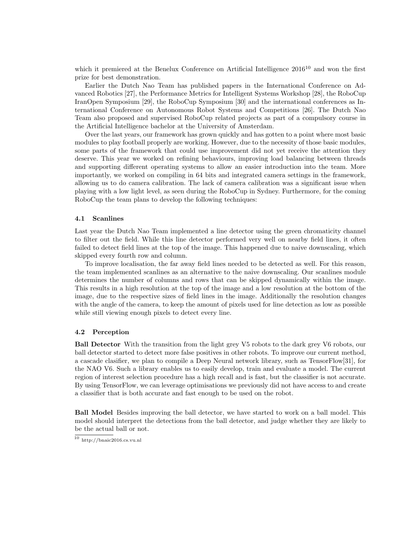which it premiered at the Benelux Conference on Artificial Intelligence  $2016^{10}$  $2016^{10}$  $2016^{10}$  and won the first prize for best demonstration.

Earlier the Dutch Nao Team has published papers in the International Conference on Advanced Robotics [\[27\]](#page-7-14), the Performance Metrics for Intelligent Systems Workshop [\[28\]](#page-7-15), the RoboCup IranOpen Symposium [\[29\]](#page-7-16), the RoboCup Symposium [\[30\]](#page-7-17) and the international conferences as International Conference on Autonomous Robot Systems and Competitions [\[26\]](#page-7-13). The Dutch Nao Team also proposed and supervised RoboCup related projects as part of a compulsory course in the Artificial Intelligence bachelor at the University of Amsterdam.

Over the last years, our framework has grown quickly and has gotten to a point where most basic modules to play football properly are working. However, due to the necessity of those basic modules, some parts of the framework that could use improvement did not yet receive the attention they deserve. This year we worked on refining behaviours, improving load balancing between threads and supporting different operating systems to allow an easier introduction into the team. More importantly, we worked on compiling in 64 bits and integrated camera settings in the framework, allowing us to do camera calibration. The lack of camera calibration was a significant issue when playing with a low light level, as seen during the RoboCup in Sydney. Furthermore, for the coming RoboCup the team plans to develop the following techniques:

#### 4.1 Scanlines

Last year the Dutch Nao Team implemented a line detector using the green chromaticity channel to filter out the field. While this line detector performed very well on nearby field lines, it often failed to detect field lines at the top of the image. This happened due to naive downscaling, which skipped every fourth row and column.

To improve localisation, the far away field lines needed to be detected as well. For this reason, the team implemented scanlines as an alternative to the naive downscaling. Our scanlines module determines the number of columns and rows that can be skipped dynamically within the image. This results in a high resolution at the top of the image and a low resolution at the bottom of the image, due to the respective sizes of field lines in the image. Additionally the resolution changes with the angle of the camera, to keep the amount of pixels used for line detection as low as possible while still viewing enough pixels to detect every line.

#### 4.2 Perception

Ball Detector With the transition from the light grey V5 robots to the dark grey V6 robots, our ball detector started to detect more false positives in other robots. To improve our current method, a cascade clasifier, we plan to compile a Deep Neural network library, such as TensorFlow[\[31\]](#page-7-18), for the NAO V6. Such a library enables us to easily develop, train and evaluate a model. The current region of interest selection procedure has a high recall and is fast, but the classifier is not accurate. By using TensorFlow, we can leverage optimisations we previously did not have access to and create a classifier that is both accurate and fast enough to be used on the robot.

Ball Model Besides improving the ball detector, we have started to work on a ball model. This model should interpret the detections from the ball detector, and judge whether they are likely to be the actual ball or not.

<span id="page-4-0"></span> $\overline{10 \text{ http://bnaic2016.cs.vu.nl}}$  $\overline{10 \text{ http://bnaic2016.cs.vu.nl}}$  $\overline{10 \text{ http://bnaic2016.cs.vu.nl}}$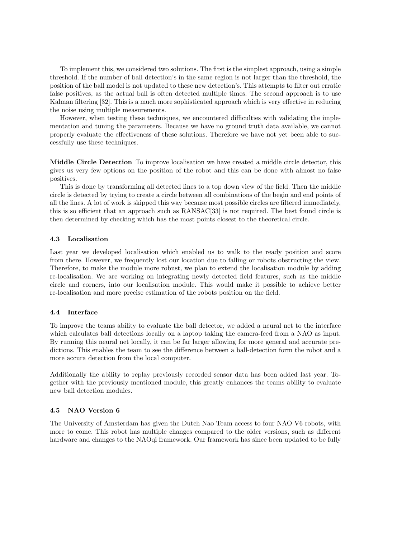To implement this, we considered two solutions. The first is the simplest approach, using a simple threshold. If the number of ball detection's in the same region is not larger than the threshold, the position of the ball model is not updated to these new detection's. This attempts to filter out erratic false positives, as the actual ball is often detected multiple times. The second approach is to use Kalman filtering [\[32\]](#page-7-19). This is a much more sophisticated approach which is very effective in reducing the noise using multiple measurements.

However, when testing these techniques, we encountered difficulties with validating the implementation and tuning the parameters. Because we have no ground truth data available, we cannot properly evaluate the effectiveness of these solutions. Therefore we have not yet been able to successfully use these techniques.

Middle Circle Detection To improve localisation we have created a middle circle detector, this gives us very few options on the position of the robot and this can be done with almost no false positives.

This is done by transforming all detected lines to a top down view of the field. Then the middle circle is detected by trying to create a circle between all combinations of the begin and end points of all the lines. A lot of work is skipped this way because most possible circles are filtered immediately, this is so efficient that an approach such as RANSAC[\[33\]](#page-7-20) is not required. The best found circle is then determined by checking which has the most points closest to the theoretical circle.

#### 4.3 Localisation

Last year we developed localisation which enabled us to walk to the ready position and score from there. However, we frequently lost our location due to falling or robots obstructing the view. Therefore, to make the module more robust, we plan to extend the localisation module by adding re-localisation. We are working on integrating newly detected field features, such as the middle circle and corners, into our localisation module. This would make it possible to achieve better re-localisation and more precise estimation of the robots position on the field.

#### 4.4 Interface

To improve the teams ability to evaluate the ball detector, we added a neural net to the interface which calculates ball detections locally on a laptop taking the camera-feed from a NAO as input. By running this neural net locally, it can be far larger allowing for more general and accurate predictions. This enables the team to see the difference between a ball-detection form the robot and a more accura detection from the local computer.

Additionally the ability to replay previously recorded sensor data has been added last year. Together with the previously mentioned module, this greatly enhances the teams ability to evaluate new ball detection modules.

#### 4.5 NAO Version 6

The University of Amsterdam has given the Dutch Nao Team access to four NAO V6 robots, with more to come. This robot has multiple changes compared to the older versions, such as different hardware and changes to the NAOqi framework. Our framework has since been updated to be fully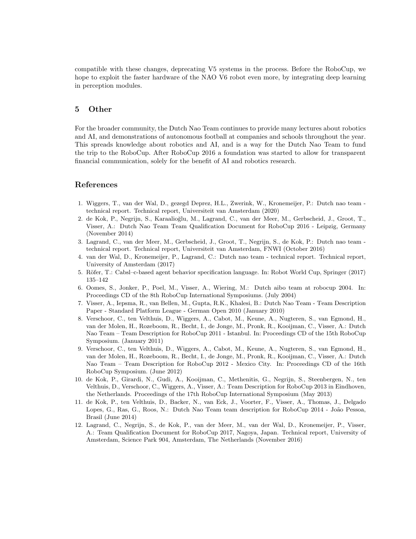compatible with these changes, deprecating V5 systems in the process. Before the RoboCup, we hope to exploit the faster hardware of the NAO V6 robot even more, by integrating deep learning in perception modules.

### 5 Other

For the broader community, the Dutch Nao Team continues to provide many lectures about robotics and AI, and demonstrations of autonomous football at companies and schools throughout the year. This spreads knowledge about robotics and AI, and is a way for the Dutch Nao Team to fund the trip to the RoboCup. After RoboCup 2016 a foundation was started to allow for transparent financial communication, solely for the benefit of AI and robotics research.

### References

- <span id="page-6-0"></span>1. Wiggers, T., van der Wal, D., gezegd Deprez, H.L., Zwerink, W., Kronemeijer, P.: Dutch nao team technical report. Technical report, Universiteit van Amsterdam (2020)
- <span id="page-6-1"></span>2. de Kok, P., Negrijn, S., Karaalioğlu, M., Lagrand, C., van der Meer, M., Gerbscheid, J., Groot, T., Visser, A.: Dutch Nao Team Team Qualification Document for RoboCup 2016 - Leipzig, Germany (November 2014)
- <span id="page-6-2"></span>3. Lagrand, C., van der Meer, M., Gerbscheid, J., Groot, T., Negrijn, S., de Kok, P.: Dutch nao team technical report. Technical report, Universiteit van Amsterdam, FNWI (October 2016)
- <span id="page-6-3"></span>4. van der Wal, D., Kronemeijer, P., Lagrand, C.: Dutch nao team - technical report. Technical report, University of Amsterdam (2017)
- <span id="page-6-4"></span>5. Röfer, T.: Cabsl–c-based agent behavior specification language. In: Robot World Cup, Springer (2017) 135–142
- <span id="page-6-5"></span>6. Oomes, S., Jonker, P., Poel, M., Visser, A., Wiering, M.: Dutch aibo team at robocup 2004. In: Proceedings CD of the 8th RoboCup International Symposiums. (July 2004)
- <span id="page-6-6"></span>7. Visser, A., Iepsma, R., van Bellen, M., Gupta, R.K., Khalesi, B.: Dutch Nao Team - Team Description Paper - Standard Platform League - German Open 2010 (January 2010)
- <span id="page-6-7"></span>8. Verschoor, C., ten Velthuis, D., Wiggers, A., Cabot, M., Keune, A., Nugteren, S., van Egmond, H., van der Molen, H., Rozeboom, R., Becht, I., de Jonge, M., Pronk, R., Kooijman, C., Visser, A.: Dutch Nao Team – Team Description for RoboCup 2011 - Istanbul. In: Proceedings CD of the 15th RoboCup Symposium. (January 2011)
- <span id="page-6-8"></span>9. Verschoor, C., ten Velthuis, D., Wiggers, A., Cabot, M., Keune, A., Nugteren, S., van Egmond, H., van der Molen, H., Rozeboom, R., Becht, I., de Jonge, M., Pronk, R., Kooijman, C., Visser, A.: Dutch Nao Team – Team Description for RoboCup 2012 - Mexico City. In: Proceedings CD of the 16th RoboCup Symposium. (June 2012)
- <span id="page-6-9"></span>10. de Kok, P., Girardi, N., Gudi, A., Kooijman, C., Methenitis, G., Negrijn, S., Steenbergen, N., ten Velthuis, D., Verschoor, C., Wiggers, A., Visser, A.: Team Description for RoboCup 2013 in Eindhoven, the Netherlands. Proceedings of the 17th RoboCup International Symposium (May 2013)
- <span id="page-6-10"></span>11. de Kok, P., ten Velthuis, D., Backer, N., van Eck, J., Voorter, F., Visser, A., Thomas, J., Delgado Lopes, G., Ras, G., Roos, N.: Dutch Nao Team team description for RoboCup 2014 - João Pessoa, Brasil (June 2014)
- <span id="page-6-11"></span>12. Lagrand, C., Negrijn, S., de Kok, P., van der Meer, M., van der Wal, D., Kronemeijer, P., Visser, A.: Team Qualification Document for RoboCup 2017, Nagoya, Japan. Technical report, University of Amsterdam, Science Park 904, Amsterdam, The Netherlands (November 2016)